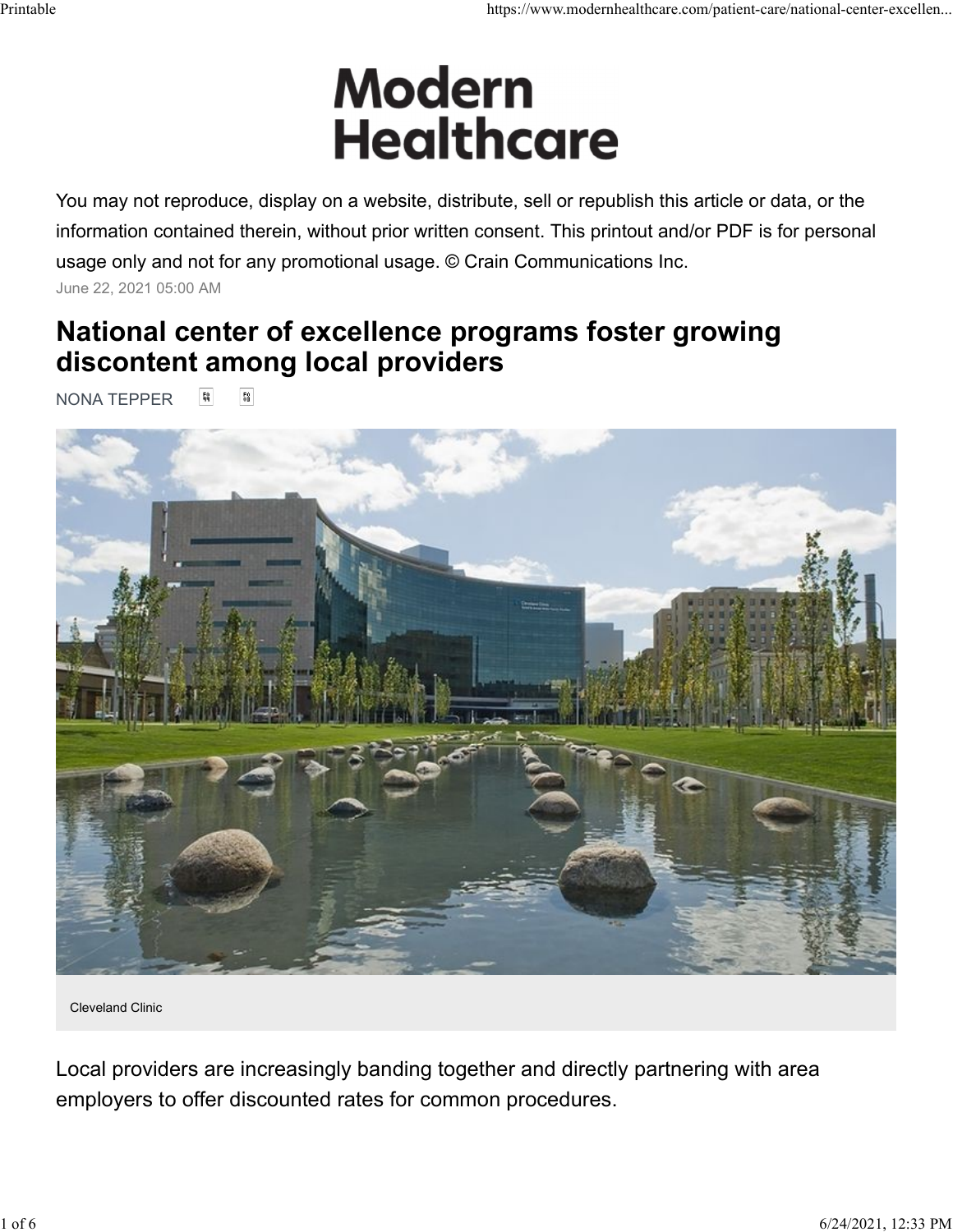# Printable https://www.modernhealthcare.com/patient-care/national-center-excellen...<br>
Modern https://www.modernhealthcare.com/patient-care/national-center-excellen...

You may not reproduce, display on a website, distribute, sell or republish this article or data, or the information contained therein, without prior written consent. This printout and/or PDF is for personal usage only and not for any promotional usage. © Crain Communications Inc. June 22, 2021 05:00 AM

# National center of excellence programs foster growing discontent among local providers

**NONA TEPPER** [ [ ]



Cleveland Clinic

Local providers are increasingly banding together and directly partnering with area employers to offer discounted rates for common procedures.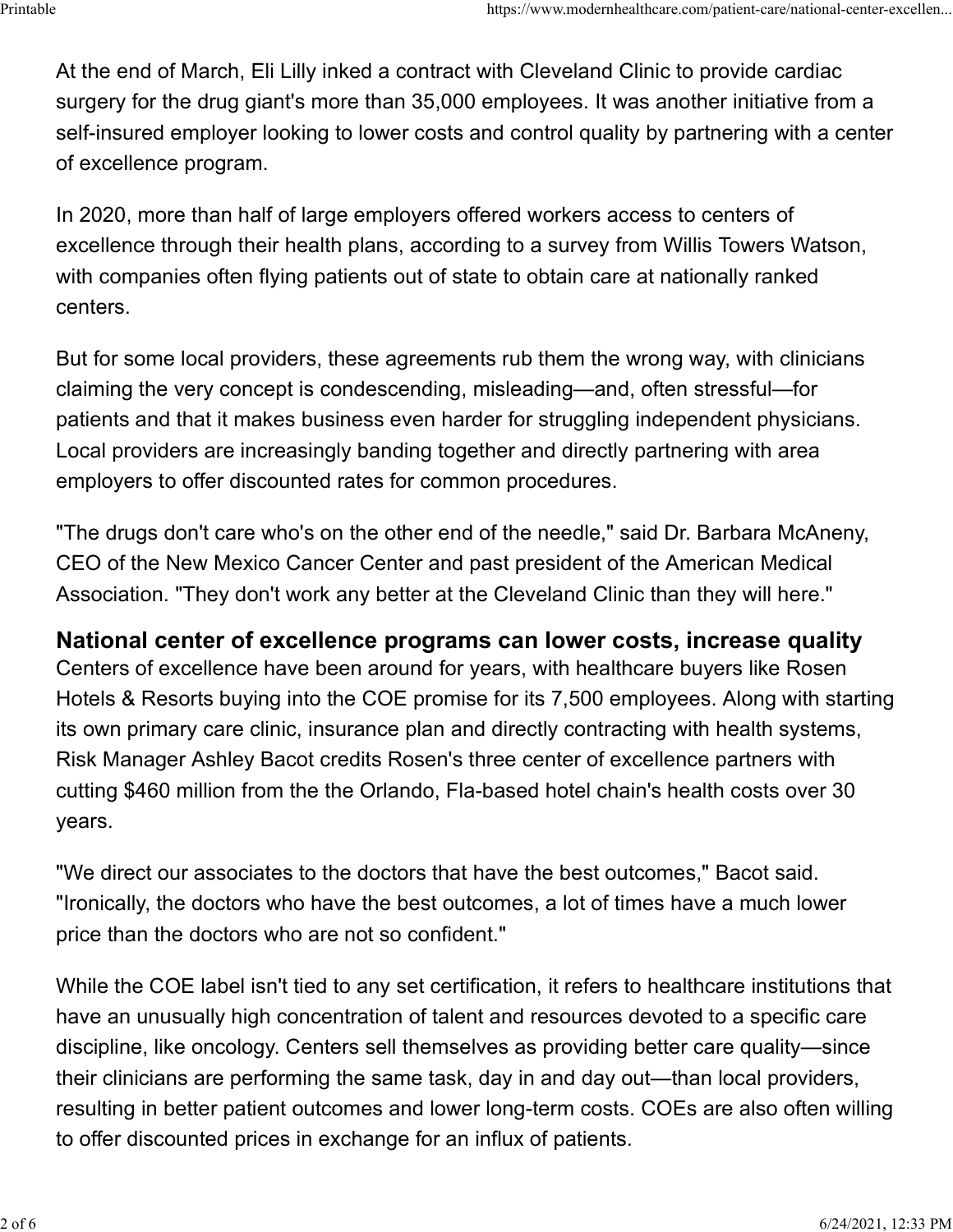At the end of March, Eli Lilly inked a contract with Cleveland Clinic to provide cardiac surgery for the drug giant's more than 35,000 employees. It was another initiative from a self-insured employer looking to lower costs and control quality by partnering with a center of excellence program. ...Printable<br>At the end of March, Eli Lilly inked a contract with Cleveland Clinic to provide cardiac<br>surgery for the drug giant's more than 35,000 employees. It was another initiative from a

In 2020, more than half of large employers offered workers access to centers of excellence through their health plans, according to a survey from Willis Towers Watson, with companies often flying patients out of state to obtain care at nationally ranked centers.

But for some local providers, these agreements rub them the wrong way, with clinicians claiming the very concept is condescending, misleading—and, often stressful—for patients and that it makes business even harder for struggling independent physicians. Local providers are increasingly banding together and directly partnering with area employers to offer discounted rates for common procedures.

"The drugs don't care who's on the other end of the needle," said Dr. Barbara McAneny, CEO of the New Mexico Cancer Center and past president of the American Medical Association. "They don't work any better at the Cleveland Clinic than they will here."

## National center of excellence programs can lower costs, increase quality

Centers of excellence have been around for years, with healthcare buyers like Rosen Hotels & Resorts buying into the COE promise for its 7,500 employees. Along with starting its own primary care clinic, insurance plan and directly contracting with health systems, Risk Manager Ashley Bacot credits Rosen's three center of excellence partners with cutting \$460 million from the the Orlando, Fla-based hotel chain's health costs over 30 years.

"We direct our associates to the doctors that have the best outcomes," Bacot said. "Ironically, the doctors who have the best outcomes, a lot of times have a much lower price than the doctors who are not so confident."

While the COE label isn't tied to any set certification, it refers to healthcare institutions that have an unusually high concentration of talent and resources devoted to a specific care discipline, like oncology. Centers sell themselves as providing better care quality—since their clinicians are performing the same task, day in and day out—than local providers, resulting in better patient outcomes and lower long-term costs. COEs are also often willing to offer discounted prices in exchange for an influx of patients.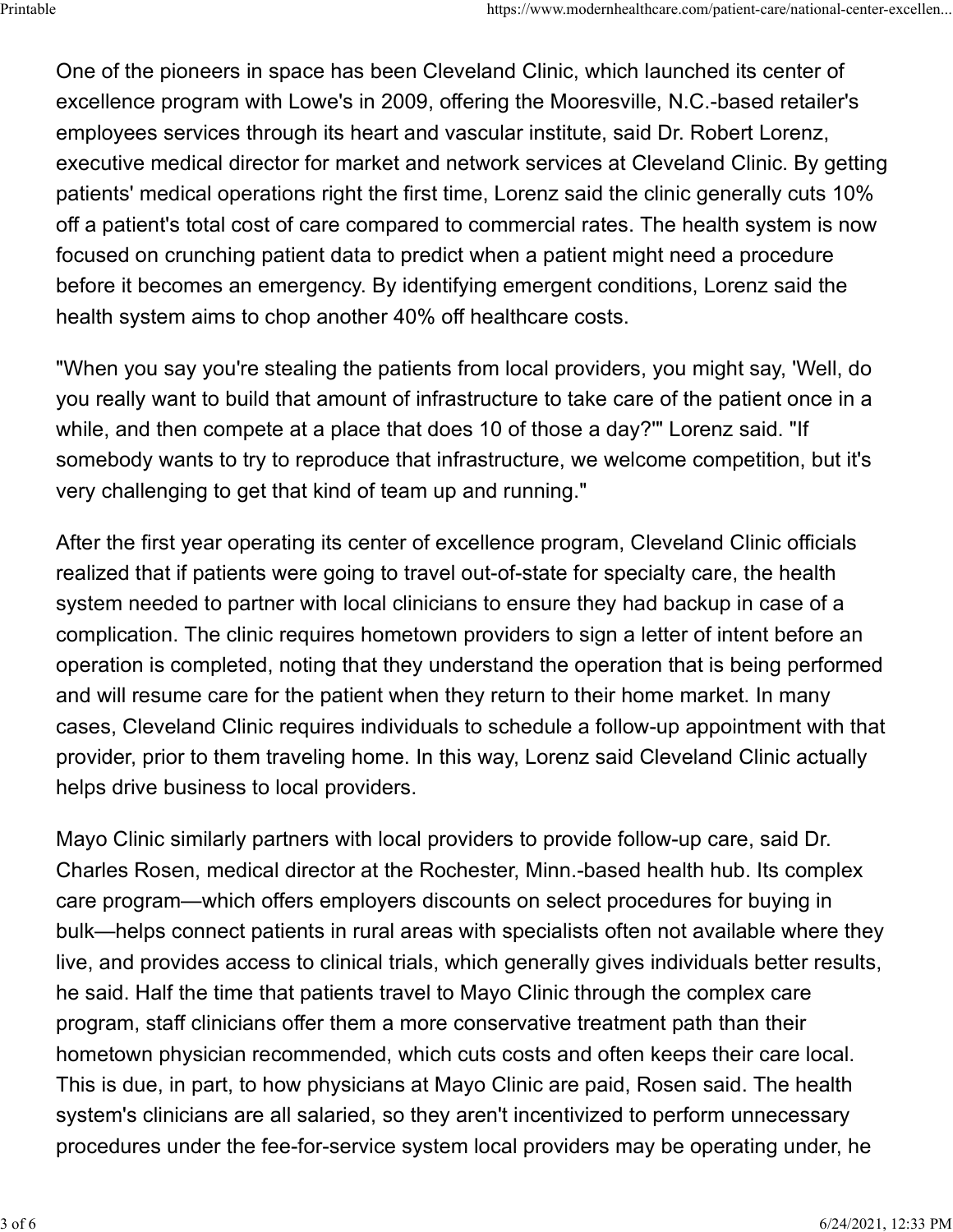One of the pioneers in space has been Cleveland Clinic, which launched its center of excellence program with Lowe's in 2009, offering the Mooresville, N.C.-based retailer's employees services through its heart and vascular institute, said Dr. Robert Lorenz, executive medical director for market and network services at Cleveland Clinic. By getting patients' medical operations right the first time, Lorenz said the clinic generally cuts 10% off a patient's total cost of care compared to commercial rates. The health system is now focused on crunching patient data to predict when a patient might need a procedure before it becomes an emergency. By identifying emergent conditions, Lorenz said the health system aims to chop another 40% off healthcare costs. ...Printable<br>One of the pioneers in space has been Cleveland Clinic, which launched its center of<br>excellence program with Lowe's in 2009, offering the Mooresville, N.C.-based retailer's

"When you say you're stealing the patients from local providers, you might say, 'Well, do you really want to build that amount of infrastructure to take care of the patient once in a while, and then compete at a place that does 10 of those a day?'" Lorenz said. "If somebody wants to try to reproduce that infrastructure, we welcome competition, but it's very challenging to get that kind of team up and running."

After the first year operating its center of excellence program, Cleveland Clinic officials realized that if patients were going to travel out-of-state for specialty care, the health system needed to partner with local clinicians to ensure they had backup in case of a complication. The clinic requires hometown providers to sign a letter of intent before an operation is completed, noting that they understand the operation that is being performed and will resume care for the patient when they return to their home market. In many cases, Cleveland Clinic requires individuals to schedule a follow-up appointment with that provider, prior to them traveling home. In this way, Lorenz said Cleveland Clinic actually helps drive business to local providers.

Mayo Clinic similarly partners with local providers to provide follow-up care, said Dr. Charles Rosen, medical director at the Rochester, Minn.-based health hub. Its complex care program—which offers employers discounts on select procedures for buying in bulk—helps connect patients in rural areas with specialists often not available where they live, and provides access to clinical trials, which generally gives individuals better results, he said. Half the time that patients travel to Mayo Clinic through the complex care program, staff clinicians offer them a more conservative treatment path than their hometown physician recommended, which cuts costs and often keeps their care local. This is due, in part, to how physicians at Mayo Clinic are paid, Rosen said. The health system's clinicians are all salaried, so they aren't incentivized to perform unnecessary procedures under the fee-for-service system local providers may be operating under, he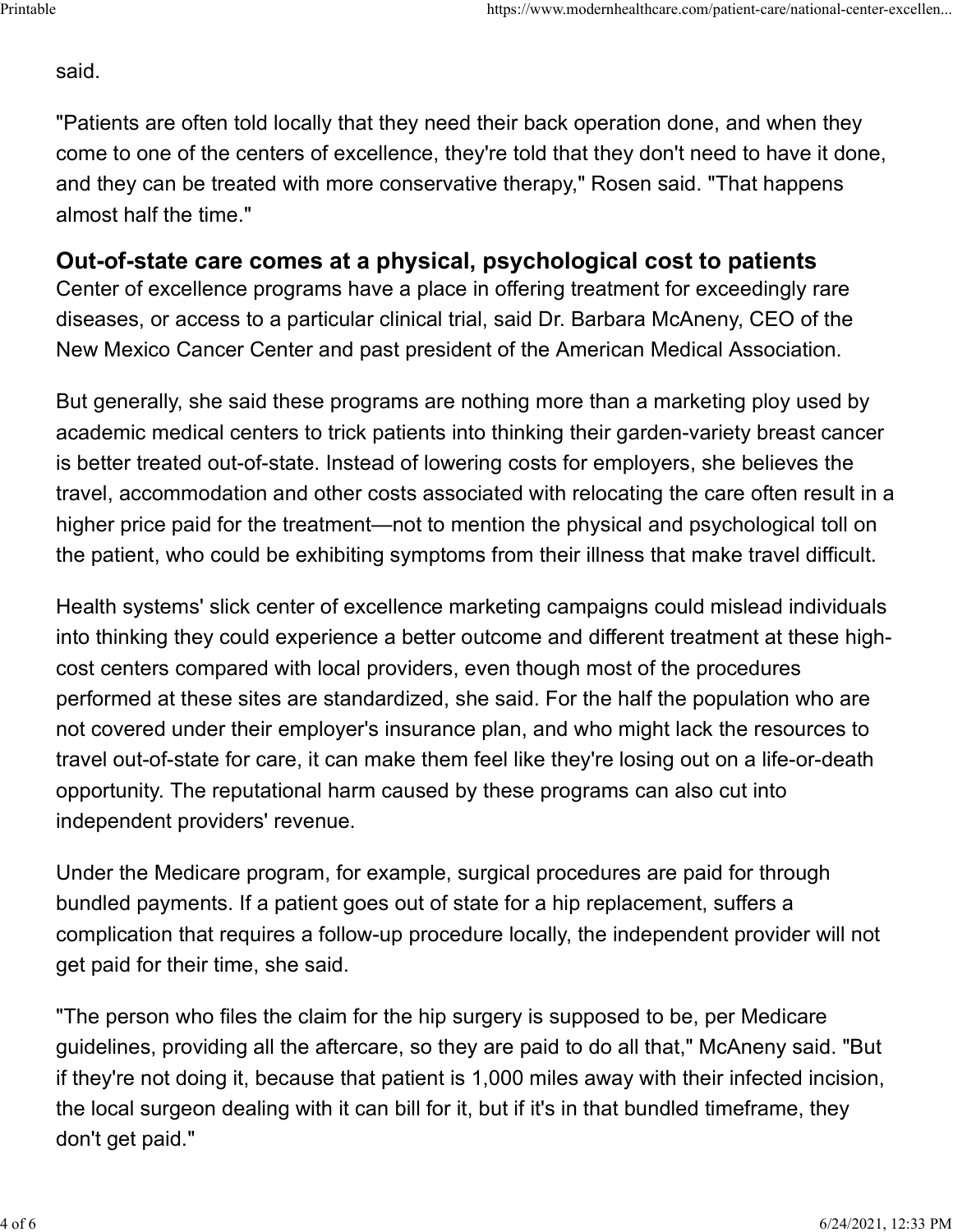### said.

"Patients are often told locally that they need their back operation done, and when they come to one of the centers of excellence, they're told that they don't need to have it done, and they can be treated with more conservative therapy," Rosen said. "That happens almost half the time."

# Out-of-state care comes at a physical, psychological cost to patients

Center of excellence programs have a place in offering treatment for exceedingly rare diseases, or access to a particular clinical trial, said Dr. Barbara McAneny, CEO of the New Mexico Cancer Center and past president of the American Medical Association.

But generally, she said these programs are nothing more than a marketing ploy used by academic medical centers to trick patients into thinking their garden-variety breast cancer is better treated out-of-state. Instead of lowering costs for employers, she believes the travel, accommodation and other costs associated with relocating the care often result in a higher price paid for the treatment—not to mention the physical and psychological toll on the patient, who could be exhibiting symptoms from their illness that make travel difficult.

Health systems' slick center of excellence marketing campaigns could mislead individuals into thinking they could experience a better outcome and different treatment at these highcost centers compared with local providers, even though most of the procedures performed at these sites are standardized, she said. For the half the population who are not covered under their employer's insurance plan, and who might lack the resources to travel out-of-state for care, it can make them feel like they're losing out on a life-or-death opportunity. The reputational harm caused by these programs can also cut into independent providers' revenue.

Under the Medicare program, for example, surgical procedures are paid for through bundled payments. If a patient goes out of state for a hip replacement, suffers a complication that requires a follow-up procedure locally, the independent provider will not get paid for their time, she said.

"The person who files the claim for the hip surgery is supposed to be, per Medicare guidelines, providing all the aftercare, so they are paid to do all that," McAneny said. "But if they're not doing it, because that patient is 1,000 miles away with their infected incision, the local surgeon dealing with it can bill for it, but if it's in that bundled timeframe, they don't get paid."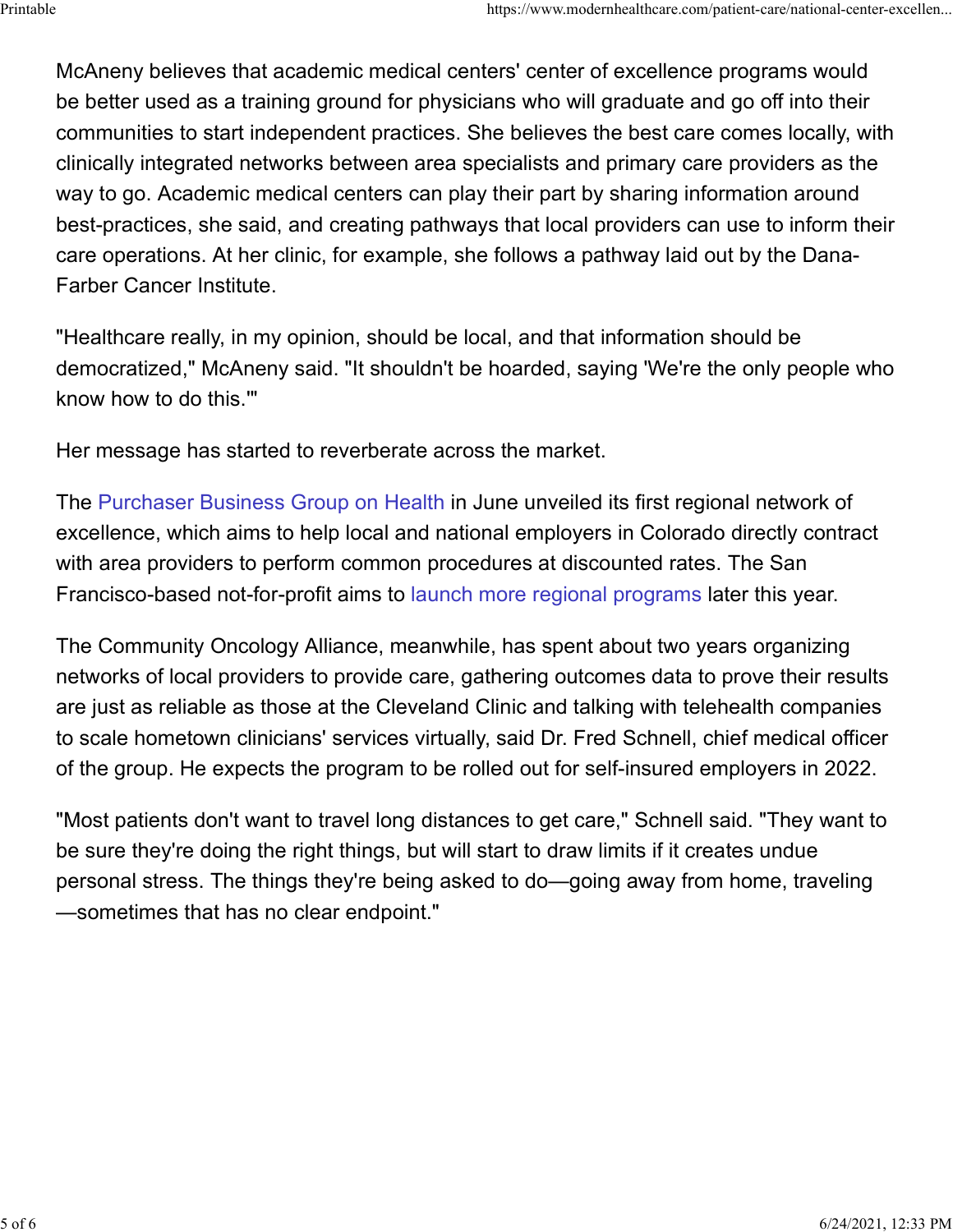McAneny believes that academic medical centers' center of excellence programs would be better used as a training ground for physicians who will graduate and go off into their communities to start independent practices. She believes the best care comes locally, with clinically integrated networks between area specialists and primary care providers as the way to go. Academic medical centers can play their part by sharing information around best-practices, she said, and creating pathways that local providers can use to inform their care operations. At her clinic, for example, she follows a pathway laid out by the Dana-Farber Cancer Institute. ...https://www.modernhealthcare.com/patient-care/national-center-excellen<br>McAneny believes that academic medical centers' center of excellence programs would<br>be better used as a training ground for physicians who will gra

"Healthcare really, in my opinion, should be local, and that information should be democratized," McAneny said. "It shouldn't be hoarded, saying 'We're the only people who know how to do this.'"

Her message has started to reverberate across the market.

The Purchaser Business Group on Health in June unveiled its first regional network of excellence, which aims to help local and national employers in Colorado directly contract with area providers to perform common procedures at discounted rates. The San Francisco-based not-for-profit aims to launch more regional programs later this year.

The Community Oncology Alliance, meanwhile, has spent about two years organizing networks of local providers to provide care, gathering outcomes data to prove their results are just as reliable as those at the Cleveland Clinic and talking with telehealth companies to scale hometown clinicians' services virtually, said Dr. Fred Schnell, chief medical officer of the group. He expects the program to be rolled out for self-insured employers in 2022.

"Most patients don't want to travel long distances to get care," Schnell said. "They want to be sure they're doing the right things, but will start to draw limits if it creates undue personal stress. The things they're being asked to do—going away from home, traveling —sometimes that has no clear endpoint."